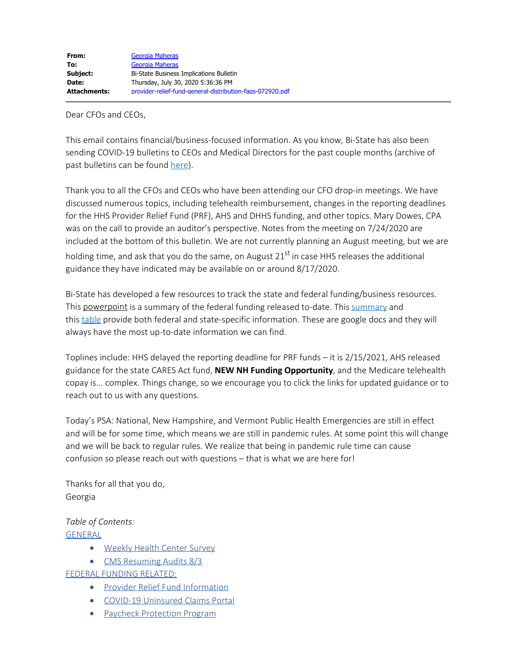Dear CFOs and CEOs,

This email contains financial/business-focused information. As you know, Bi-State has also been sending COVID-19 bulletins to CEOs and Medical Directors for the past couple months (archive of past bulletins can be found [here](https://bistatepca.org/health-center-resources/covid-bulletins-resources/bi-state-covid-19-bulletins)).

Thank you to all the CFOs and CEOs who have been attending our CFO drop-in meetings. We have discussed numerous topics, including telehealth reimbursement, changes in the reporting deadlines for the HHS Provider Relief Fund (PRF), AHS and DHHS funding, and other topics. Mary Dowes, CPA was on the call to provide an auditor's perspective. Notes from the meeting on 7/24/2020 are included at the bottom of this bulletin. We are not currently planning an August meeting, but we are holding time, and ask that you do the same, on August 21<sup>st</sup> in case HHS releases the additional guidance they have indicated may be available on or around 8/17/2020.

Bi-State has developed a few resources to track the state and federal funding/business resources. This powerpoint is a [summary](https://drive.google.com/file/d/15mc3V8Dr1baKYgds9Q11_9Qi3XOw7tix/view) of the federal funding released to-date. This summary and this [table](https://drive.google.com/open?id=1wmsUmXu9Jjhh1_oc9_7SZqOicvRbexke) provide both federal and state-specific information. These are google docs and they will always have the most up-to-date information we can find.

Toplines include: HHS delayed the reporting deadline for PRF funds – it is 2/15/2021, AHS released guidance for the state CARES Act fund, **NEW NH Funding Opportunity**, and the Medicare telehealth copay is... complex. Things change, so we encourage you to click the links for updated guidance or to reach out to us with any questions.

Today's PSA: National, New Hampshire, and Vermont Public Health Emergencies are still in effect and will be for some time, which means we are still in pandemic rules. At some point this will change and we will be back to regular rules. We realize that being in pandemic rule time can cause confusion so please reach out with questions – that is what we are here for!

Thanks for all that you do, Georgia

*Table of Contents:* [GENERAL](#page-1-0)

- · [Weekly Health Center Survey](#page-1-1)
- [CMS Resuming Audits 8/3](#page-1-2)

[FEDERAL FUNDING RELATED:](#page-1-3)

- · [Provider Relief Fund Information](#page-1-4)
- · [COVID-19 Uninsured Claims Portal](#page-1-5)
- [Paycheck Protection Program](#page-2-0)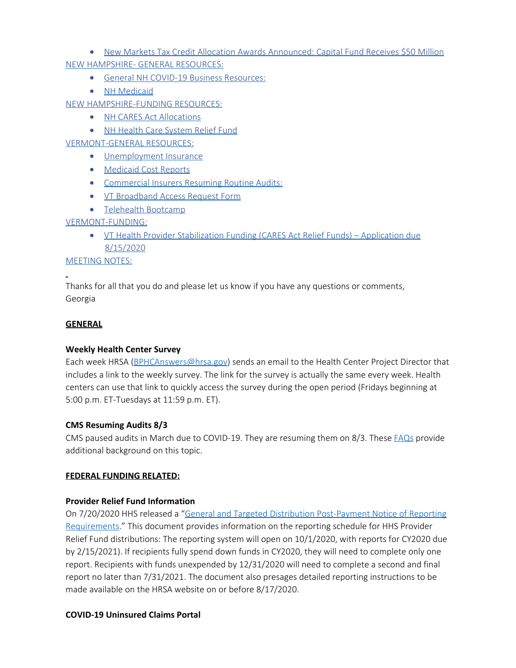• [New Markets Tax Credit Allocation Awards Announced: Capital Fund Receives \\$50 Million](#page-2-1) [NEW HAMPSHIRE- GENERAL RESOURCES:](#page-2-2)

- [General NH COVID-19 Business Resources:](#page-2-3)
- [NH Medicaid](#page-2-4)

[NEW HAMPSHIRE-FUNDING RESOURCES:](#page-3-0)

- [NH CARES Act Allocations](#page-3-1)
- · [NH Health Care System Relief Fund](#page-3-2)

[VERMONT-GENERAL RESOURCES:](#page-3-3)

- [Unemployment Insurance](#page-3-4)
- · [Medicaid Cost Reports](#page-3-5)
- [Commercial Insurers Resuming Routine Audits:](#page-4-0)
- · [VT Broadband Access Request Form](#page-4-1)
- · [Telehealth Bootcamp](#page-4-2)

# [VERMONT-FUNDING:](#page-4-3)

· [VT Health Provider Stabilization Funding \(CARES Act Relief Funds\)](#page-4-4) – Application due [8/15/2020](#page-4-4)

[MEETING NOTES:](#page-4-5)

Thanks for all that you do and please let us know if you have any questions or comments, Georgia

## <span id="page-1-0"></span>**GENERAL**

## <span id="page-1-1"></span>**Weekly Health Center Survey**

Each week HRSA [\(BPHCAnswers@hrsa.gov](mailto:BPHCAnswers@hrsa.gov)) sends an email to the Health Center Project Director that includes a link to the weekly survey. The link for the survey is actually the same every week. Health centers can use that link to quickly access the survey during the open period (Fridays beginning at 5:00 p.m. ET-Tuesdays at 11:59 p.m. ET).

## <span id="page-1-2"></span>**CMS Resuming Audits 8/3**

CMS paused audits in March due to COVID-19. They are resuming them on 8/3. These [FAQs](https://www.cms.gov/files/document/provider-burden-relief-faqs.pdf) provide additional background on this topic.

# <span id="page-1-3"></span>**FEDERAL FUNDING RELATED:**

## <span id="page-1-4"></span>**Provider Relief Fund Information**

On 7/20/2020 HHS released a ["General and Targeted Distribution Post-Payment Notice of Reporting](https://www.hhs.gov/sites/default/files/provider-post-payment-notice-of-reporting-requirements.pdf) [Requirements](https://www.hhs.gov/sites/default/files/provider-post-payment-notice-of-reporting-requirements.pdf)." This document provides information on the reporting schedule for HHS Provider Relief Fund distributions: The reporting system will open on 10/1/2020, with reports for CY2020 due by 2/15/2021). If recipients fully spend down funds in CY2020, they will need to complete only one report. Recipients with funds unexpended by 12/31/2020 will need to complete a second and final report no later than 7/31/2021. The document also presages detailed reporting instructions to be made available on the HRSA website on or before 8/17/2020.

## <span id="page-1-5"></span>**COVID-19 Uninsured Claims Portal**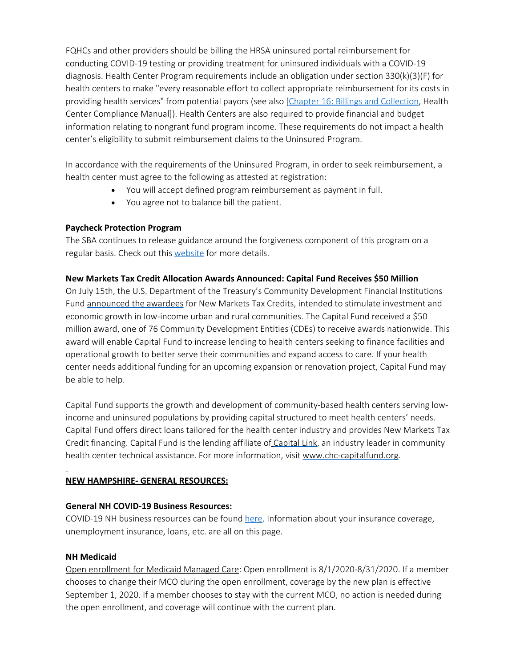FQHCs and other providers should be billing the HRSA uninsured portal reimbursement for conducting COVID-19 testing or providing treatment for uninsured individuals with a COVID-19 diagnosis. Health Center Program requirements include an obligation under section 330(k)(3)(F) for health centers to make "every reasonable effort to collect appropriate reimbursement for its costs in providing health services" from potential payors (see also [[Chapter 16: Billings and Collection](https://bphc.hrsa.gov/programrequirements/compliancemanual/chapter-16.html), Health Center Compliance Manual]). Health Centers are also required to provide financial and budget information relating to nongrant fund program income. These requirements do not impact a health center's eligibility to submit reimbursement claims to the Uninsured Program.

In accordance with the requirements of the Uninsured Program, in order to seek reimbursement, a health center must agree to the following as attested at registration:

- · You will accept defined program reimbursement as payment in full.
- · You agree not to balance bill the patient.

# <span id="page-2-0"></span>**Paycheck Protection Program**

The SBA continues to release guidance around the forgiveness component of this program on a regular basis. Check out this [website](https://www.sba.gov/funding-programs/loans/coronavirus-relief-options/paycheck-protection-program) for more details.

# <span id="page-2-1"></span>**New Markets Tax Credit Allocation Awards Announced: Capital Fund Receives \$50 Million**

On July 15th, the U.S. Department of the Treasury's Community Development Financial Institutions Fund [announced the awardees](http://go.caplink.org/e/149871/D-385-Category-Press20Releases/v2mbm/295395674?h=XqAwAWJu7_uo8C895UU-5_URiWCvBdtUlgPR3lh3BO0) for New Markets Tax Credits, intended to stimulate investment and economic growth in low-income urban and rural communities. The Capital Fund received a \$50 million award, one of 76 Community Development Entities (CDEs) to receive awards nationwide. This award will enable Capital Fund to increase lending to health centers seeking to finance facilities and operational growth to better serve their communities and expand access to care. If your health center needs additional funding for an upcoming expansion or renovation project, Capital Fund may be able to help.

Capital Fund supports the growth and development of community-based health centers serving lowincome and uninsured populations by providing capital structured to meet health centers' needs. Capital Fund offers direct loans tailored for the health center industry and provides New Markets Tax Credit financing. Capital Fund is the lending affiliate of [Capital Link](http://go.caplink.org/e/149871/2020-07-16/v2mbp/295395674?h=XqAwAWJu7_uo8C895UU-5_URiWCvBdtUlgPR3lh3BO0), an industry leader in community health center technical assistance. For more information, visit [www.chc-capitalfund.org](http://go.caplink.org/e/149871/2020-07-16/v2mbr/295395674?h=XqAwAWJu7_uo8C895UU-5_URiWCvBdtUlgPR3lh3BO0).

# <span id="page-2-2"></span>**NEW HAMPSHIRE- GENERAL RESOURCES:**

## <span id="page-2-3"></span>**General NH COVID-19 Business Resources:**

COVID-19 NH business resources can be found [here](https://www.nheconomy.com/covid19). Information about your insurance coverage, unemployment insurance, loans, etc. are all on this page.

# <span id="page-2-4"></span>**NH Medicaid**

Open enrollment for Medicaid Managed Care: Open enrollment is 8/1/2020-8/31/2020. If a member chooses to change their MCO during the open enrollment, coverage by the new plan is effective September 1, 2020. If a member chooses to stay with the current MCO, no action is needed during the open enrollment, and coverage will continue with the current plan.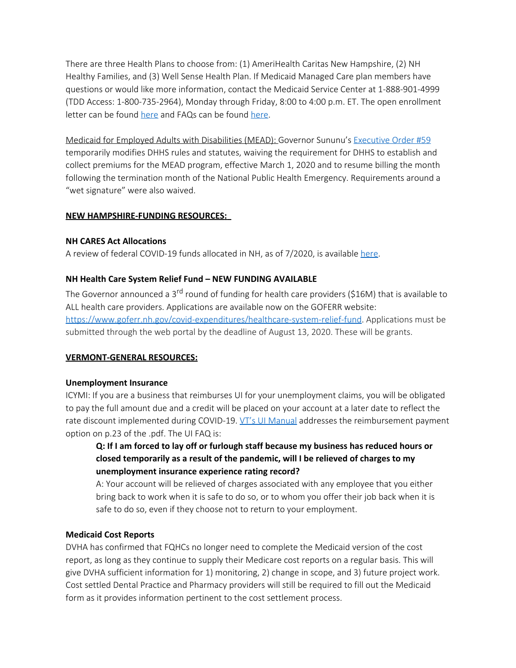There are three Health Plans to choose from: (1) AmeriHealth Caritas New Hampshire, (2) NH Healthy Families, and (3) Well Sense Health Plan. If Medicaid Managed Care plan members have questions or would like more information, contact the Medicaid Service Center at 1-888-901-4999 (TDD Access: 1-800-735-2964), Monday through Friday, 8:00 to 4:00 p.m. ET. The open enrollment letter can be found [here](https://www.dhhs.nh.gov/ombp/caremgt/documents/mcmopenenrollmentletter2020.pdf) and FAQs can be found [here](https://www.dhhs.nh.gov/ombp/caremgt/documents/mcmfaq10502020.pdf).

Medicaid for Employed Adults with Disabilities (MEAD): Governor Sununu's [Executive Order #59](https://www.governor.nh.gov/sites/g/files/ehbemt336/files/documents/emergency-order-59.pdf) temporarily modifies DHHS rules and statutes, waiving the requirement for DHHS to establish and collect premiums for the MEAD program, effective March 1, 2020 and to resume billing the month following the termination month of the National Public Health Emergency. Requirements around a "wet signature" were also waived.

# <span id="page-3-0"></span>**NEW HAMPSHIRE-FUNDING RESOURCES:**

## <span id="page-3-1"></span>**NH CARES Act Allocations**

A review of federal COVID-19 funds allocated in NH, as of 7/2020, is available [here](http://www.gencourt.state.nh.us/lba/Budget/COVID-19_Docs/Federal_COVID_19_Funding_7-21-20.pdf).

# <span id="page-3-2"></span>**NH Health Care System Relief Fund – NEW FUNDING AVAILABLE**

The Governor announced a 3<sup>rd</sup> round of funding for health care providers (\$16M) that is available to ALL health care providers. Applications are available now on the GOFERR website: <https://www.goferr.nh.gov/covid-expenditures/healthcare-system-relief-fund>. Applications must be submitted through the web portal by the deadline of August 13, 2020. These will be grants.

## <span id="page-3-3"></span>**VERMONT-GENERAL RESOURCES:**

## <span id="page-3-4"></span>**Unemployment Insurance**

ICYMI: If you are a business that reimburses UI for your unemployment claims, you will be obligated to pay the full amount due and a credit will be placed on your account at a later date to reflect the rate discount implemented during COVID-19. [VT's UI Manual](https://labor.vermont.gov/sites/labor/files/doc_library/Employer%20Information%20Manual%202019%20%28updated%201-31-2020%29.pdf) addresses the reimbursement payment option on p.23 of the .pdf. The UI FAQ is:

# **Q: If I am forced to lay off or furlough staff because my business has reduced hours or closed temporarily as a result of the pandemic, will I be relieved of charges to my unemployment insurance experience rating record?**

A: Your account will be relieved of charges associated with any employee that you either bring back to work when it is safe to do so, or to whom you offer their job back when it is safe to do so, even if they choose not to return to your employment.

## <span id="page-3-5"></span>**Medicaid Cost Reports**

DVHA has confirmed that FQHCs no longer need to complete the Medicaid version of the cost report, as long as they continue to supply their Medicare cost reports on a regular basis. This will give DVHA sufficient information for 1) monitoring, 2) change in scope, and 3) future project work. Cost settled Dental Practice and Pharmacy providers will still be required to fill out the Medicaid form as it provides information pertinent to the cost settlement process.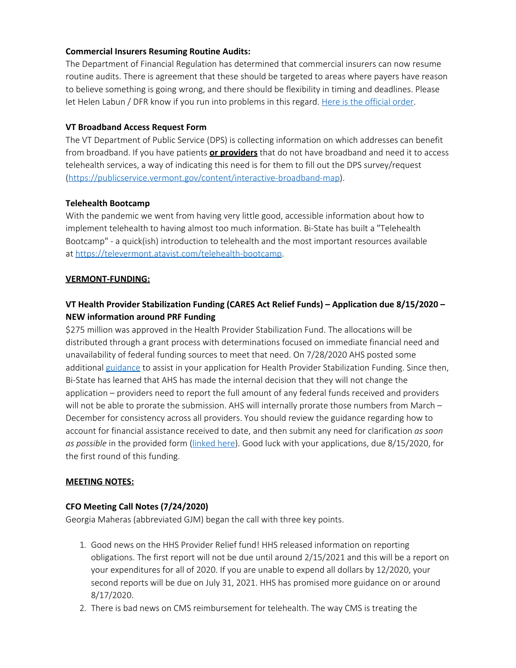# <span id="page-4-0"></span>**Commercial Insurers Resuming Routine Audits:**

The Department of Financial Regulation has determined that commercial insurers can now resume routine audits. There is agreement that these should be targeted to areas where payers have reason to believe something is going wrong, and there should be flexibility in timing and deadlines. Please let Helen Labun / DFR know if you run into problems in this regard. [Here is the official order.](https://dfr.vermont.gov/reg-bul-ord/resumption-routine-provider-audits-insurers)

## <span id="page-4-1"></span>**VT Broadband Access Request Form**

The VT Department of Public Service (DPS) is collecting information on which addresses can benefit from broadband. If you have patients **or providers** that do not have broadband and need it to access telehealth services, a way of indicating this need is for them to fill out the DPS survey/request [\(https://publicservice.vermont.gov/content/interactive-broadband-map](https://publicservice.vermont.gov/content/interactive-broadband-map)).

# <span id="page-4-2"></span>**Telehealth Bootcamp**

With the pandemic we went from having very little good, accessible information about how to implement telehealth to having almost too much information. Bi-State has built a "Telehealth Bootcamp" - a quick(ish) introduction to telehealth and the most important resources available at [https://televermont.atavist.com/telehealth-bootcamp.](https://bistatepca.us4.list-manage.com/track/click?u=df7a2102cc7225ac3c634134a&id=0f693e7307&e=9271aa7f12)

## <span id="page-4-3"></span>**VERMONT-FUNDING:**

# <span id="page-4-4"></span>**VT Health Provider Stabilization Funding (CARES Act Relief Funds) – Application due 8/15/2020 – NEW information around PRF Funding**

\$275 million was approved in the Health Provider Stabilization Fund. The allocations will be distributed through a grant process with determinations focused on immediate financial need and unavailability of federal funding sources to meet that need. On 7/28/2020 AHS posted some additional [guidance](https://dvha.vermont.gov/covid-19) to assist in your application for Health Provider Stabilization Funding. Since then, Bi-State has learned that AHS has made the internal decision that they will not change the application – providers need to report the full amount of any federal funds received and providers will not be able to prorate the submission. AHS will internally prorate those numbers from March – December for consistency across all providers. You should review the guidance regarding how to account for financial assistance received to date, and then submit any need for clarification *as soon as possible* in the provided form [\(linked here](https://forms.office.com/Pages/ResponsePage.aspx?id=O5O0IK26PEOcAnDtzHVZxvfgWKk_oARJtaZfOH6fNQtUMjlCRU9CTVRLWFBXRzBJMFcxWTBLMDJaRS4u)). Good luck with your applications, due 8/15/2020, for the first round of this funding.

## <span id="page-4-5"></span>**MEETING NOTES:**

# **CFO Meeting Call Notes (7/24/2020)**

Georgia Maheras (abbreviated GJM) began the call with three key points.

- 1. Good news on the HHS Provider Relief fund! HHS released information on reporting obligations. The first report will not be due until around 2/15/2021 and this will be a report on your expenditures for all of 2020. If you are unable to expend all dollars by 12/2020, your second reports will be due on July 31, 2021. HHS has promised more guidance on or around 8/17/2020.
- 2. There is bad news on CMS reimbursement for telehealth. The way CMS is treating the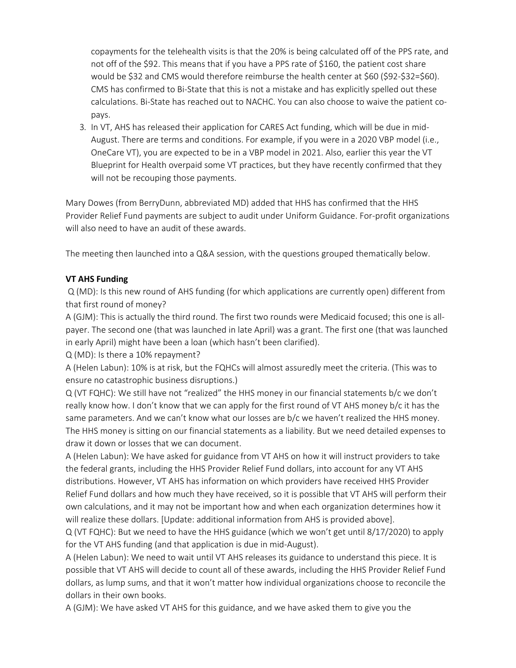copayments for the telehealth visits is that the 20% is being calculated off of the PPS rate, and not off of the \$92. This means that if you have a PPS rate of \$160, the patient cost share would be \$32 and CMS would therefore reimburse the health center at \$60 (\$92-\$32=\$60). CMS has confirmed to Bi-State that this is not a mistake and has explicitly spelled out these calculations. Bi-State has reached out to NACHC. You can also choose to waive the patient copays.

3. In VT, AHS has released their application for CARES Act funding, which will be due in mid-August. There are terms and conditions. For example, if you were in a 2020 VBP model (i.e., OneCare VT), you are expected to be in a VBP model in 2021. Also, earlier this year the VT Blueprint for Health overpaid some VT practices, but they have recently confirmed that they will not be recouping those payments.

Mary Dowes (from BerryDunn, abbreviated MD) added that HHS has confirmed that the HHS Provider Relief Fund payments are subject to audit under Uniform Guidance. For-profit organizations will also need to have an audit of these awards.

The meeting then launched into a Q&A session, with the questions grouped thematically below.

# **VT AHS Funding**

Q (MD): Is this new round of AHS funding (for which applications are currently open) different from that first round of money?

A (GJM): This is actually the third round. The first two rounds were Medicaid focused; this one is allpayer. The second one (that was launched in late April) was a grant. The first one (that was launched in early April) might have been a loan (which hasn't been clarified).

Q (MD): Is there a 10% repayment?

A (Helen Labun): 10% is at risk, but the FQHCs will almost assuredly meet the criteria. (This was to ensure no catastrophic business disruptions.)

Q (VT FQHC): We still have not "realized" the HHS money in our financial statements b/c we don't really know how. I don't know that we can apply for the first round of VT AHS money b/c it has the same parameters. And we can't know what our losses are b/c we haven't realized the HHS money. The HHS money is sitting on our financial statements as a liability. But we need detailed expenses to draw it down or losses that we can document.

A (Helen Labun): We have asked for guidance from VT AHS on how it will instruct providers to take the federal grants, including the HHS Provider Relief Fund dollars, into account for any VT AHS distributions. However, VT AHS has information on which providers have received HHS Provider Relief Fund dollars and how much they have received, so it is possible that VT AHS will perform their own calculations, and it may not be important how and when each organization determines how it will realize these dollars. [Update: additional information from AHS is provided above].

Q (VT FQHC): But we need to have the HHS guidance (which we won't get until 8/17/2020) to apply for the VT AHS funding (and that application is due in mid-August).

A (Helen Labun): We need to wait until VT AHS releases its guidance to understand this piece. It is possible that VT AHS will decide to count all of these awards, including the HHS Provider Relief Fund dollars, as lump sums, and that it won't matter how individual organizations choose to reconcile the dollars in their own books.

A (GJM): We have asked VT AHS for this guidance, and we have asked them to give you the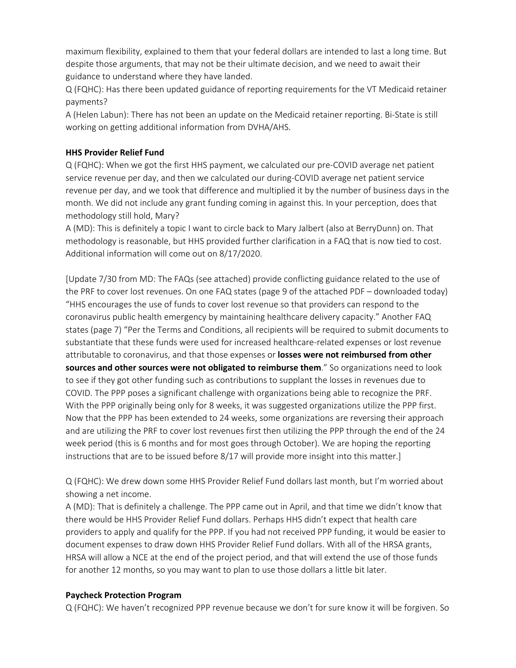maximum flexibility, explained to them that your federal dollars are intended to last a long time. But despite those arguments, that may not be their ultimate decision, and we need to await their guidance to understand where they have landed.

Q (FQHC): Has there been updated guidance of reporting requirements for the VT Medicaid retainer payments?

A (Helen Labun): There has not been an update on the Medicaid retainer reporting. Bi-State is still working on getting additional information from DVHA/AHS.

# **HHS Provider Relief Fund**

Q (FQHC): When we got the first HHS payment, we calculated our pre-COVID average net patient service revenue per day, and then we calculated our during-COVID average net patient service revenue per day, and we took that difference and multiplied it by the number of business days in the month. We did not include any grant funding coming in against this. In your perception, does that methodology still hold, Mary?

A (MD): This is definitely a topic I want to circle back to Mary Jalbert (also at BerryDunn) on. That methodology is reasonable, but HHS provided further clarification in a FAQ that is now tied to cost. Additional information will come out on 8/17/2020.

[Update 7/30 from MD: The FAQs (see attached) provide conflicting guidance related to the use of the PRF to cover lost revenues. On one FAQ states (page 9 of the attached PDF – downloaded today) "HHS encourages the use of funds to cover lost revenue so that providers can respond to the coronavirus public health emergency by maintaining healthcare delivery capacity." Another FAQ states (page 7) "Per the Terms and Conditions, all recipients will be required to submit documents to substantiate that these funds were used for increased healthcare-related expenses or lost revenue attributable to coronavirus, and that those expenses or **losses were not reimbursed from other sources and other sources were not obligated to reimburse them**." So organizations need to look to see if they got other funding such as contributions to supplant the losses in revenues due to COVID. The PPP poses a significant challenge with organizations being able to recognize the PRF. With the PPP originally being only for 8 weeks, it was suggested organizations utilize the PPP first. Now that the PPP has been extended to 24 weeks, some organizations are reversing their approach and are utilizing the PRF to cover lost revenues first then utilizing the PPP through the end of the 24 week period (this is 6 months and for most goes through October). We are hoping the reporting instructions that are to be issued before 8/17 will provide more insight into this matter.]

Q (FQHC): We drew down some HHS Provider Relief Fund dollars last month, but I'm worried about showing a net income.

A (MD): That is definitely a challenge. The PPP came out in April, and that time we didn't know that there would be HHS Provider Relief Fund dollars. Perhaps HHS didn't expect that health care providers to apply and qualify for the PPP. If you had not received PPP funding, it would be easier to document expenses to draw down HHS Provider Relief Fund dollars. With all of the HRSA grants, HRSA will allow a NCE at the end of the project period, and that will extend the use of those funds for another 12 months, so you may want to plan to use those dollars a little bit later.

## **Paycheck Protection Program**

Q (FQHC): We haven't recognized PPP revenue because we don't for sure know it will be forgiven. So